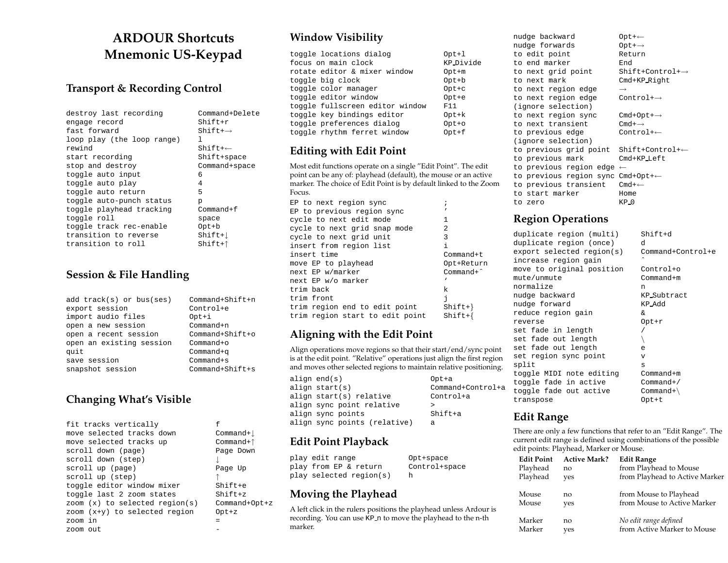# **ARDOUR Shortcuts Mnemonic US-Keypad**

#### **Transport & Recording Control**

| destroy last recording     | Command+Delete |  |
|----------------------------|----------------|--|
| engage record              | Shift+r        |  |
| fast forward               | $Shift++$      |  |
| loop play (the loop range) | ı              |  |
| rewind                     | $Shift++$      |  |
| start recording            | Shift+space    |  |
| stop and destroy           | Command+space  |  |
| toggle auto input          | 6              |  |
| toggle auto play           | 4              |  |
| toggle auto return         | 5              |  |
| toggle auto-punch status   | p              |  |
| toggle playhead tracking   | $Common + f$   |  |
| toggle roll                | space          |  |
| toggle track rec-enable    | $Opt + b$      |  |
| transition to reverse      | $Shift+$       |  |
| transition to roll         | Shift+↑        |  |

#### **Session & File Handling**

| $add$ track(s) or bus(ses) | Command+Shift+n     |
|----------------------------|---------------------|
| export session             | Control+e           |
| import audio files         | Opt+i               |
| open a new session         | Command+n           |
| open a recent session      | $Command + Shift+o$ |
| open an existing session   | $Common+o$          |
| quit                       | $Common+q$          |
| save session               | $Common+ s$         |
| snapshot session           | $Command+Shift+s$   |

# **Changing What's Visible**

| fit tracks vertically            | f               |
|----------------------------------|-----------------|
| move selected tracks down        | Command+1       |
| move selected tracks up          | $Commonand+†$   |
| scroll down (page)               | Page Down       |
| scroll down (step)               |                 |
| scroll up (page)                 | Page Up         |
| scroll up (step)                 |                 |
| toggle editor window mixer       | $Shift+e$       |
| toggle last 2 zoom states        | $Shift+z$       |
| zoom $(x)$ to selected region(s) | $Commond+Opt+z$ |
| zoom (x+y) to selected region    | $Opt+z$         |
| zoom in                          |                 |
| zoom out                         |                 |

# **Window Visibility**

| toggle locations dialog         | $Opt+1$   |
|---------------------------------|-----------|
| focus on main clock             | KP Divide |
| rotate editor & mixer window    | Opt+m     |
| toggle big clock                | $Opt + b$ |
| toggle color manager            | $Opt+c$   |
| toggle editor window            | $Opt+e$   |
| toggle fullscreen editor window | F11       |
| toggle key bindings editor      | $Opt+k$   |
| toggle preferences dialog       | $Opt+o$   |
| toggle rhythm ferret window     | $0pt+f$   |

## **Editing with Edit Point**

Most edit functions operate on <sup>a</sup> single "Edit Point". The edit point can be any of: playhead (default), the mouse or an active marker. The choice of Edit Point is by default linked to the Zoom Focus.

| EP to next region sync          |                    |
|---------------------------------|--------------------|
| EP to previous region sync      |                    |
| cycle to next edit mode         | 1                  |
| cycle to next grid snap mode    | 2                  |
| cycle to next grid unit         | 3                  |
| insert from region list         | i                  |
| insert time                     | Comment            |
| move EP to playhead             | Opt+Return         |
| next EP w/marker                | $Common ^{\wedge}$ |
| next EP w/o marker              | ٦                  |
| trim back                       | k                  |
| trim front                      | f.                 |
| trim region end to edit point   | $Shift+$ }         |
| trim region start to edit point | $Shift+$           |

# **Aligning with the Edit Point**

Align operations move regions so that their start/end/sync point is at the edit point. "Relative" operations just align the first region and moves other selected regions to maintain relative positioning.

| align end(s)                 | Opt+a             |
|------------------------------|-------------------|
| align start(s)               | Command+Control+a |
| align start(s) relative      | Control+a         |
| align sync point relative    |                   |
| align sync points            | $Shift+a$         |
| align sync points (relative) | а                 |

# **Edit Point Playback**

| play edit range         | Opt+space     |
|-------------------------|---------------|
| play from EP & return   | Control+space |
| play selected region(s) |               |

# **Moving the Playhead**

<sup>A</sup> left click in the rulers positions the playhead unless Ardour is recording. You can use KP n to move the playhead to the n-th marker.

| nudge backward                       | Opt+←                        |
|--------------------------------------|------------------------------|
| nudge forwards                       | $Opt + \rightarrow$          |
| to edit point                        | Return                       |
| to end marker                        | End                          |
| to next grid point                   | Shift+Control+ $\rightarrow$ |
| to next mark                         | $Cmd+KP_Riqht$               |
| to next region edge                  | $\rightarrow$                |
| to next region edge                  | $Control \rightarrow$        |
| (ignore selection)                   |                              |
| to next region sync                  | $Cmd+Opt+\rightarrow$        |
| to next transient                    | $Cm1 + \rightarrow$          |
| to previous edge                     | $Control \leftarrow$         |
| (ignore selection)                   |                              |
| to previous grid point               | $Shift+Control++$            |
| to previous mark                     | $Cmd+KP_Heft$                |
| to previous region edge $\leftarrow$ |                              |
| to previous region sync Cmd+Opt+←    |                              |
| to previous transient                | $Cmd+\leftarrow$             |
| to start marker                      | Home                         |
| to zero                              | $KP_0$                       |

# **Region Operations**

|       | duplicate region (multi)  | $Shift+d$         |
|-------|---------------------------|-------------------|
|       | duplicate region (once)   | d                 |
|       | export selected region(s) | Command+Control+e |
|       | increase region gain      |                   |
|       | move to original position | Control+o         |
|       | mute/unmute               | $Commonand+m$     |
|       | normalize                 | n                 |
|       | nudge backward            | KP_Subtract       |
|       | nudge forward             | KP_Add            |
|       | reduce region gain        | $\delta$          |
|       | reverse                   | $Opt+r$           |
|       | set fade in length        |                   |
|       | set fade out length       |                   |
|       | set fade out length       | e                 |
|       | set region sync point     | v                 |
| split |                           | S                 |
|       | toggle MIDI note editing  | $Commonand+m$     |
|       | toggle fade in active     | $Commonard+$      |
|       | toggle fade out active    | $Common+$         |
|       | transpose                 | $0$ pt+t          |

## **Edit Range**

There are only a few functions that refer to an "Edit Range". The current edit range is defined using combinations of the possible edit points: Playhead, Marker or Mouse.

| <b>Edit Point</b> | <b>Active Mark?</b> | <b>Edit Range</b>              |
|-------------------|---------------------|--------------------------------|
| Playhead          | no                  | from Playhead to Mouse         |
| Playhead          | yes                 | from Playhead to Active Marker |
| Mouse             | no                  | from Mouse to Playhead         |
| Mouse             | yes                 | from Mouse to Active Marker    |
| Marker            | no                  | No edit range defined          |
| Marker            | ves                 | from Active Marker to Mouse    |